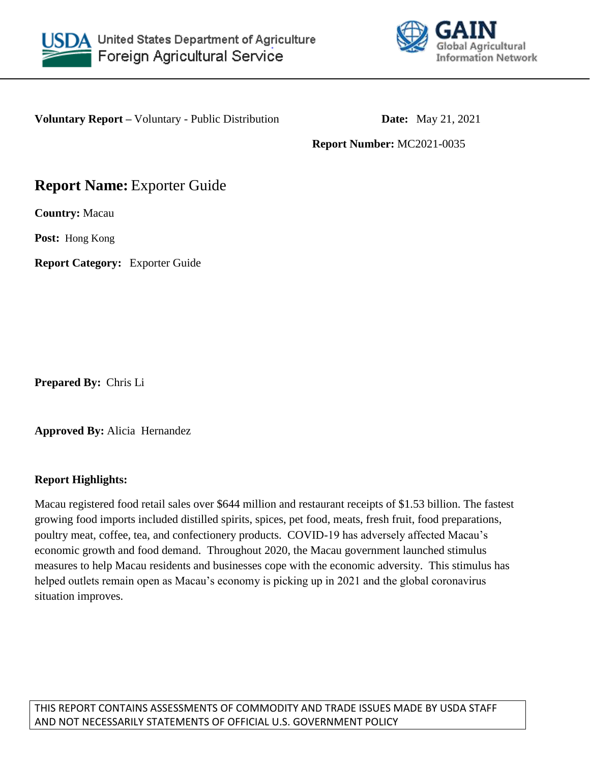



**Voluntary Report** – Voluntary - Public Distribution **Date:** May 21, 2021

**Report Number:** MC2021-0035

# **Report Name:** Exporter Guide

**Country:** Macau

**Post:** Hong Kong

**Report Category:** Exporter Guide

**Prepared By:** Chris Li

**Approved By:** Alicia Hernandez

# **Report Highlights:**

Macau registered food retail sales over \$644 million and restaurant receipts of \$1.53 billion. The fastest growing food imports included distilled spirits, spices, pet food, meats, fresh fruit, food preparations, poultry meat, coffee, tea, and confectionery products. COVID-19 has adversely affected Macau's economic growth and food demand. Throughout 2020, the Macau government launched stimulus measures to help Macau residents and businesses cope with the economic adversity. This stimulus has helped outlets remain open as Macau's economy is picking up in 2021 and the global coronavirus situation improves.

THIS REPORT CONTAINS ASSESSMENTS OF COMMODITY AND TRADE ISSUES MADE BY USDA STAFF AND NOT NECESSARILY STATEMENTS OF OFFICIAL U.S. GOVERNMENT POLICY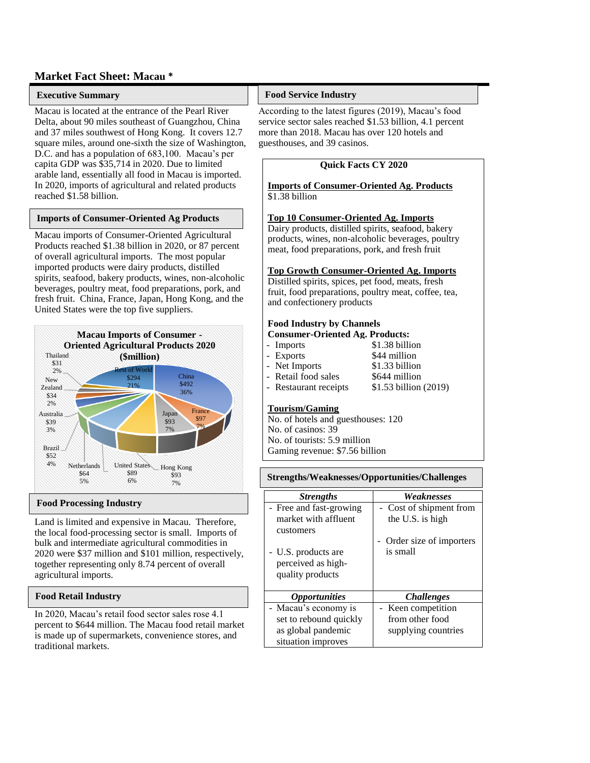### **Market Fact Sheet: Macau \***

### **Executive Summary**

Macau is located at the entrance of the Pearl River Delta, about 90 miles southeast of Guangzhou, China and 37 miles southwest of Hong Kong. It covers 12.7 square miles, around one-sixth the size of Washington, D.C. and has a population of 683,100. Macau's per capita GDP was \$35,714 in 2020. Due to limited arable land, essentially all food in Macau is imported. In 2020, imports of agricultural and related products reached \$1.58 billion.

#### **Imports of Consumer-Oriented Ag Products**

**Macau imports of Consumer-Oriented Agricultural** Products reached \$1.38 billion in 2020, or 87 percent of overall agricultural imports. The most popular imported products were dairy products, distilled spirits, seafood, bakery products, wines, non-alcoholic beverages, poultry meat, food preparations, pork, and fresh fruit. China, France, Japan, Hong Kong, and the United States were the top five suppliers.



#### **Food Processing Industry**

Land is limited and expensive in Macau. Therefore, the local food-processing sector is small. Imports of bulk and intermediate agricultural commodities in 2020 were \$37 million and \$101 million, respectively, together representing only 8.74 percent of overall agricultural imports.

#### **Food Retail Industry**

In 2020, Macau's retail food sector sales rose 4.1 percent to \$644 million. The Macau food retail market is made up of supermarkets, convenience stores, and traditional markets.

#### **Food Service Industry**

According to the latest figures (2019), Macau's food service sector sales reached \$1.53 billion, 4.1 percent more than 2018. Macau has over 120 hotels and guesthouses, and 39 casinos.

#### **Quick Facts CY 2020**

#### **Imports of Consumer-Oriented Ag. Products** \$1.38 billion

#### **Top 10 Consumer-Oriented Ag. Imports**

Dairy products, distilled spirits, seafood, bakery products, wines, non-alcoholic beverages, poultry meat, food preparations, pork, and fresh fruit

#### **Top Growth Consumer-Oriented Ag. Imports**

Distilled spirits, spices, pet food, meats, fresh fruit, food preparations, poultry meat, coffee, tea, and confectionery products

### **Food Industry by Channels**

### **Consumer-Oriented Ag. Products:**

| - Imports             | \$1.38 billion        |
|-----------------------|-----------------------|
| - Exports             | \$44 million          |
| - Net Imports         | \$1.33 billion        |
| - Retail food sales   | \$644 million         |
| - Restaurant receipts | \$1.53 billion (2019) |
|                       |                       |

### **Tourism/Gaming**

No. of hotels and guesthouses: 120 No. of casinos: 39 No. of tourists: 5.9 million Gaming revenue: \$7.56 billion

#### **Strengths/Weaknesses/Opportunities/Challenges**

| <b>Strengths</b>            | Weaknesses               |
|-----------------------------|--------------------------|
| - Free and fast-growing     | - Cost of shipment from  |
| market with affluent        | the U.S. is high         |
| customers                   |                          |
|                             | Order size of importers  |
| - U.S. products are         | is small                 |
| perceived as high-          |                          |
| quality products            |                          |
|                             |                          |
| <i><b>Opportunities</b></i> | <i><b>Challenges</b></i> |
| - Macau's economy is        | - Keen competition       |
| set to rebound quickly      | from other food          |
| as global pandemic          | supplying countries      |
| situation improves          |                          |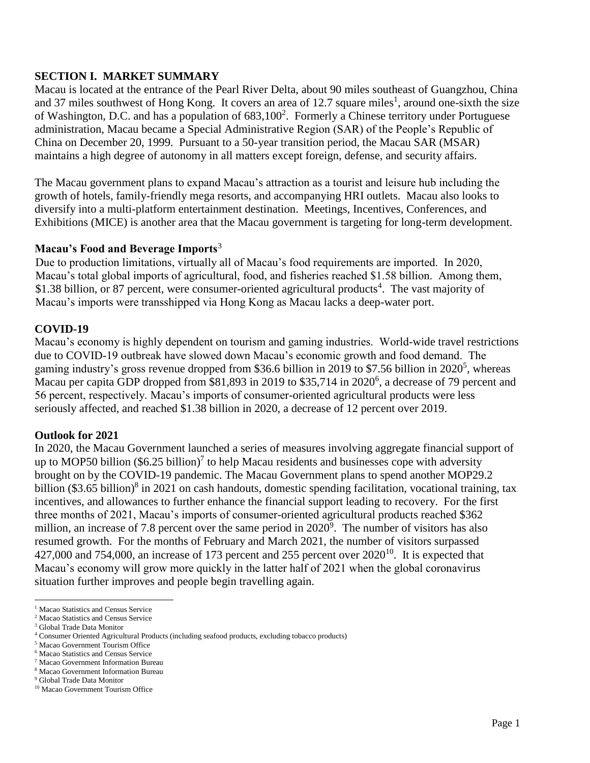# **SECTION I. MARKET SUMMARY**

Macau is located at the entrance of the Pearl River Delta, about 90 miles southeast of Guangzhou, China and 37 miles southwest of Hong Kong. It covers an area of 12.7 square miles<sup>1</sup>, around one-sixth the size of Washington, D.C. and has a population of  $683,100^2$ . Formerly a Chinese territory under Portuguese administration, Macau became a Special Administrative Region (SAR) of the People's Republic of China on December 20, 1999. Pursuant to a 50-year transition period, the Macau SAR (MSAR) maintains a high degree of autonomy in all matters except foreign, defense, and security affairs.

The Macau government plans to expand Macau's attraction as a tourist and leisure hub including the growth of hotels, family-friendly mega resorts, and accompanying HRI outlets. Macau also looks to diversify into a multi-platform entertainment destination. Meetings, Incentives, Conferences, and Exhibitions (MICE) is another area that the Macau government is targeting for long-term development.

# **Macau's Food and Beverage Imports**<sup>3</sup>

Due to production limitations, virtually all of Macau's food requirements are imported. In 2020, Macau's total global imports of agricultural, food, and fisheries reached \$1.58 billion. Among them, \$1.38 billion, or 87 percent, were consumer-oriented agricultural products<sup>4</sup>. The vast majority of Macau's imports were transshipped via Hong Kong as Macau lacks a deep-water port.

# **COVID-19**

Macau's economy is highly dependent on tourism and gaming industries. World-wide travel restrictions due to COVID-19 outbreak have slowed down Macau's economic growth and food demand. The gaming industry's gross revenue dropped from \$36.6 billion in 2019 to \$7.56 billion in 2020<sup>5</sup>, whereas Macau per capita GDP dropped from \$81,893 in 2019 to \$35,714 in 2020<sup>6</sup>, a decrease of 79 percent and 56 percent, respectively. Macau's imports of consumer-oriented agricultural products were less seriously affected, and reached \$1.38 billion in 2020, a decrease of 12 percent over 2019.

# **Outlook for 2021**

In 2020, the Macau Government launched a series of measures involving aggregate financial support of up to MOP50 billion  $(\$6.25$  billion)<sup>7</sup> to help Macau residents and businesses cope with adversity brought on by the COVID-19 pandemic. The Macau Government plans to spend another MOP29.2 billion (\$3.65 billion)<sup>8</sup> in 2021 on cash handouts, domestic spending facilitation, vocational training, tax incentives, and allowances to further enhance the financial support leading to recovery. For the first three months of 2021, Macau's imports of consumer-oriented agricultural products reached \$362 million, an increase of 7.8 percent over the same period in  $2020^{\circ}$ . The number of visitors has also resumed growth. For the months of February and March 2021, the number of visitors surpassed 427,000 and 754,000, an increase of 173 percent and 255 percent over  $2020^{10}$ . It is expected that Macau's economy will grow more quickly in the latter half of 2021 when the global coronavirus situation further improves and people begin travelling again.

 $\overline{a}$ 

<sup>&</sup>lt;sup>1</sup> Macao Statistics and Census Service

<sup>2</sup> Macao Statistics and Census Service

<sup>3</sup> Global Trade Data Monitor

<sup>4</sup> Consumer Oriented Agricultural Products (including seafood products, excluding tobacco products)

<sup>5</sup> Macao Government Tourism Office

<sup>6</sup> Macao Statistics and Census Service

<sup>7</sup> Macao Government Information Bureau <sup>8</sup> Macao Government Information Bureau

<sup>9</sup> Global Trade Data Monitor

<sup>&</sup>lt;sup>10</sup> Macao Government Tourism Office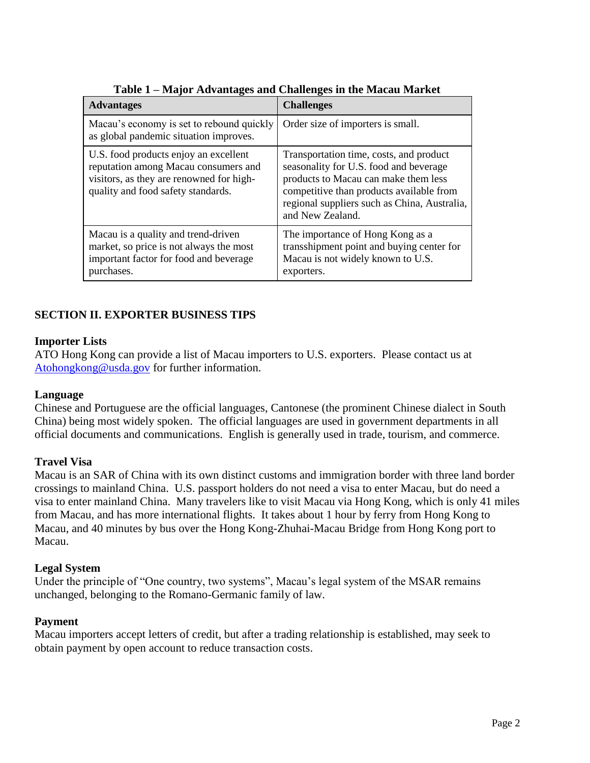| <b>Advantages</b>                                                                                                                                               | <b>Challenges</b>                                                                                                                                                                                                                         |
|-----------------------------------------------------------------------------------------------------------------------------------------------------------------|-------------------------------------------------------------------------------------------------------------------------------------------------------------------------------------------------------------------------------------------|
| Macau's economy is set to rebound quickly<br>as global pandemic situation improves.                                                                             | Order size of importers is small.                                                                                                                                                                                                         |
| U.S. food products enjoy an excellent<br>reputation among Macau consumers and<br>visitors, as they are renowned for high-<br>quality and food safety standards. | Transportation time, costs, and product<br>seasonality for U.S. food and beverage<br>products to Macau can make them less<br>competitive than products available from<br>regional suppliers such as China, Australia,<br>and New Zealand. |
| Macau is a quality and trend-driven<br>market, so price is not always the most<br>important factor for food and beverage<br>purchases.                          | The importance of Hong Kong as a<br>transshipment point and buying center for<br>Macau is not widely known to U.S.<br>exporters.                                                                                                          |

# **Table 1 – Major Advantages and Challenges in the Macau Market**

# **SECTION II. EXPORTER BUSINESS TIPS**

# **Importer Lists**

ATO Hong Kong can provide a list of Macau importers to U.S. exporters. Please contact us at [Atohongkong@usda.gov](mailto:Atohongkong@usda.gov) for further information.

# **Language**

Chinese and Portuguese are the official languages, Cantonese (the prominent Chinese dialect in South China) being most widely spoken. The official languages are used in government departments in all official documents and communications. English is generally used in trade, tourism, and commerce.

# **Travel Visa**

Macau is an SAR of China with its own distinct customs and immigration border with three land border crossings to mainland China. U.S. passport holders do not need a visa to enter Macau, but do need a visa to enter mainland China. Many travelers like to visit Macau via Hong Kong, which is only 41 miles from Macau, and has more international flights. It takes about 1 hour by ferry from Hong Kong to Macau, and 40 minutes by bus over [the Hong Kong-Zhuhai-Macau Bridge](https://www.chinahighlights.com/hong-kong/hong-kong-zhuhai-macau-bridge.htm) from Hong Kong port to Macau.

# **Legal System**

Under the principle of "One country, two systems", Macau's legal system of the MSAR remains unchanged, belonging to the Romano-Germanic family of law.

# **Payment**

Macau importers accept letters of credit, but after a trading relationship is established, may seek to obtain payment by open account to reduce transaction costs.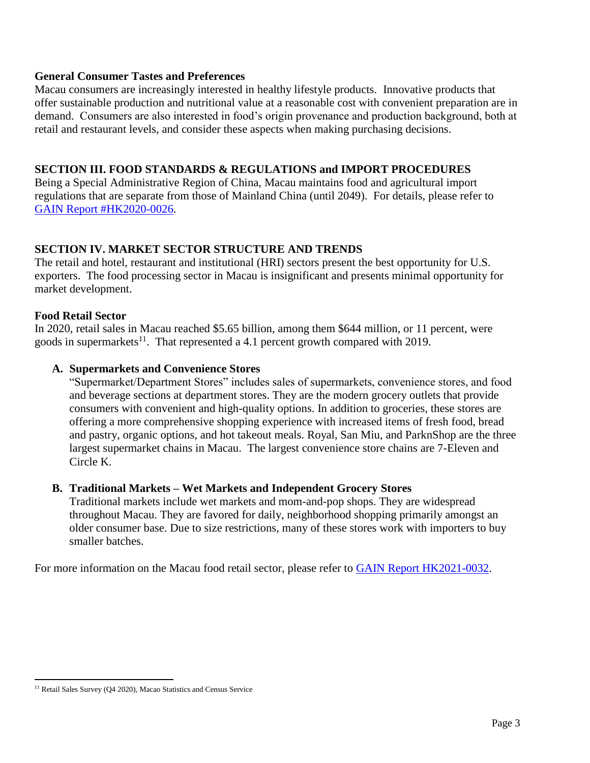# **General Consumer Tastes and Preferences**

Macau consumers are increasingly interested in healthy lifestyle products. Innovative products that offer sustainable production and nutritional value at a reasonable cost with convenient preparation are in demand. Consumers are also interested in food's origin provenance and production background, both at retail and restaurant levels, and consider these aspects when making purchasing decisions.

# **SECTION III. FOOD STANDARDS & REGULATIONS and IMPORT PROCEDURES**

Being a Special Administrative Region of China, Macau maintains food and agricultural import regulations that are separate from those of Mainland China (until 2049). For details, please refer to [GAIN Report #HK2020-0026.](https://www.usfoods-hongkong.net/wps/wp-content/uploads/Food-and-Agricultural-Import-Regulations-and-Standards-Narrative_Macau_Hong-Kong_05-18-2020.pdf)

# **SECTION IV. MARKET SECTOR STRUCTURE AND TRENDS**

The retail and hotel, restaurant and institutional (HRI) sectors present the best opportunity for U.S. exporters. The food processing sector in Macau is insignificant and presents minimal opportunity for market development.

# **Food Retail Sector**

In 2020, retail sales in Macau reached \$5.65 billion, among them \$644 million, or 11 percent, were goods in supermarkets<sup>11</sup>. That represented a 4.1 percent growth compared with 2019.

# **A. Supermarkets and Convenience Stores**

"Supermarket/Department Stores" includes sales of supermarkets, convenience stores, and food and beverage sections at department stores. They are the modern grocery outlets that provide consumers with convenient and high-quality options. In addition to groceries, these stores are offering a more comprehensive shopping experience with increased items of fresh food, bread and pastry, organic options, and hot takeout meals. Royal, San Miu, and ParknShop are the three largest supermarket chains in Macau. The largest convenience store chains are 7-Eleven and Circle K.

# **B. Traditional Markets – Wet Markets and Independent Grocery Stores**

Traditional markets include wet markets and mom-and-pop shops. They are widespread throughout Macau. They are favored for daily, neighborhood shopping primarily amongst an older consumer base. Due to size restrictions, many of these stores work with importers to buy smaller batches.

For more information on the Macau food retail sector, please refer to [GAIN Report HK2021-0032.](https://www.usfoods-hongkong.net/wps/wp-content/uploads/Retail-Foods-_Hong-Kong_Macau_05-09-2021-3.pdf)

 $\overline{\phantom{a}}$ 

<sup>&</sup>lt;sup>11</sup> Retail Sales Survey (Q4 2020), Macao Statistics and Census Service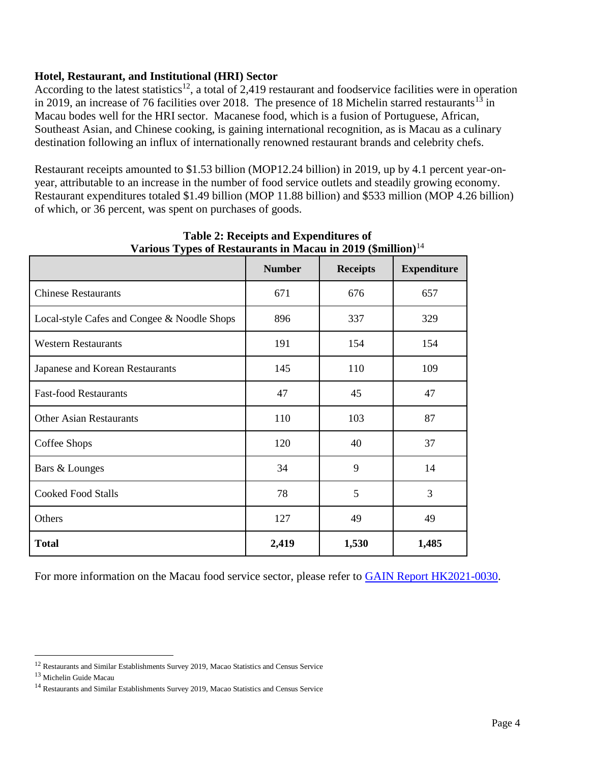# **Hotel, Restaurant, and Institutional (HRI) Sector**

According to the latest statistics<sup>12</sup>, a total of 2,419 restaurant and foodservice facilities were in operation in 2019, an increase of 76 facilities over 2018. The presence of 18 Michelin starred restaurants<sup>13</sup> in Macau bodes well for the HRI sector. Macanese food, which is a fusion of Portuguese, African, Southeast Asian, and Chinese cooking, is gaining international recognition, as is Macau as a culinary destination following an influx of internationally renowned restaurant brands and celebrity chefs.

Restaurant receipts amounted to \$1.53 billion (MOP12.24 billion) in 2019, up by 4.1 percent year-onyear, attributable to an increase in the number of food service outlets and steadily growing economy. Restaurant expenditures totaled \$1.49 billion (MOP 11.88 billion) and \$533 million (MOP 4.26 billion) of which, or 36 percent, was spent on purchases of goods.

|                                             | <b>Number</b> | <b>Receipts</b> | <b>Expenditure</b> |
|---------------------------------------------|---------------|-----------------|--------------------|
| <b>Chinese Restaurants</b>                  | 671           | 676             | 657                |
| Local-style Cafes and Congee & Noodle Shops | 896           | 337             | 329                |
| <b>Western Restaurants</b>                  | 191           | 154             | 154                |
| Japanese and Korean Restaurants             | 145           | 110             | 109                |
| <b>Fast-food Restaurants</b>                | 47            | 45              | 47                 |
| <b>Other Asian Restaurants</b>              | 110           | 103             | 87                 |
| Coffee Shops                                | 120           | 40              | 37                 |
| Bars & Lounges                              | 34            | 9               | 14                 |
| <b>Cooked Food Stalls</b>                   | 78            | 5               | 3                  |
| Others                                      | 127           | 49              | 49                 |
| <b>Total</b>                                | 2,419         | 1,530           | 1,485              |

# **Table 2: Receipts and Expenditures of Various Types of Restaurants in Macau in 2019 (\$million)**<sup>14</sup>

For more information on the Macau food service sector, please refer to [GAIN Report HK2021-0030.](https://www.usfoods-hongkong.net/wps/wp-content/uploads/Food-Service-Hotel-Restaurant-Institutional_Hong-Kong_Macau_05-01-2021-3.pdf)

 $\overline{\phantom{a}}$ 

<sup>&</sup>lt;sup>12</sup> Restaurants and Similar Establishments Survey 2019, Macao Statistics and Census Service

<sup>13</sup> Michelin Guide Macau

<sup>&</sup>lt;sup>14</sup> Restaurants and Similar Establishments Survey 2019, Macao Statistics and Census Service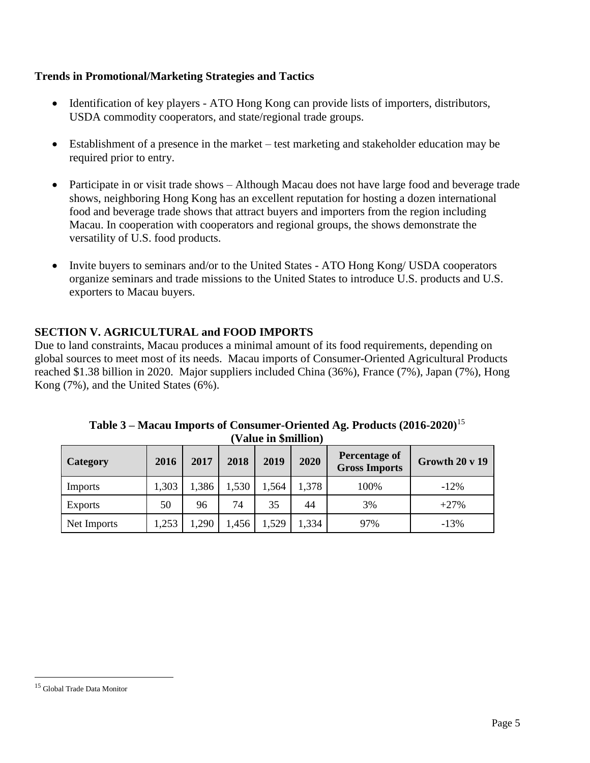# **Trends in Promotional/Marketing Strategies and Tactics**

- Identification of key players ATO Hong Kong can provide lists of importers, distributors, USDA commodity cooperators, and state/regional trade groups.
- Establishment of a presence in the market test marketing and stakeholder education may be required prior to entry.
- Participate in or visit trade shows Although Macau does not have large food and beverage trade shows, neighboring Hong Kong has an excellent reputation for hosting a dozen international food and beverage trade shows that attract buyers and importers from the region including Macau. In cooperation with cooperators and regional groups, the shows demonstrate the versatility of U.S. food products.
- Invite buyers to seminars and/or to the United States ATO Hong Kong/ USDA cooperators organize seminars and trade missions to the United States to introduce U.S. products and U.S. exporters to Macau buyers.

# **SECTION V. AGRICULTURAL and FOOD IMPORTS**

Due to land constraints, Macau produces a minimal amount of its food requirements, depending on global sources to meet most of its needs. Macau imports of Consumer-Oriented Agricultural Products reached \$1.38 billion in 2020. Major suppliers included China (36%), France (7%), Japan (7%), Hong Kong (7%), and the United States (6%).

| , ,             |       |       |       |       |       |                                       |                           |
|-----------------|-------|-------|-------|-------|-------|---------------------------------------|---------------------------|
| <b>Category</b> | 2016  | 2017  | 2018  | 2019  | 2020  | Percentage of<br><b>Gross Imports</b> | Growth $20 \text{ v } 19$ |
| Imports         | 1,303 | 1,386 | 1,530 | 1,564 | 1,378 | 100%                                  | $-12\%$                   |
| Exports         | 50    | 96    | 74    | 35    | 44    | 3%                                    | $+27%$                    |
| Net Imports     | 1,253 | ,290  | ,456  | 1,529 | 1,334 | 97%                                   | $-13%$                    |

**Table 3 – Macau Imports of Consumer-Oriented Ag. Products (2016-2020)**<sup>15</sup> **(Value in \$million)**

 $\overline{\phantom{a}}$ 

<sup>15</sup> Global Trade Data Monitor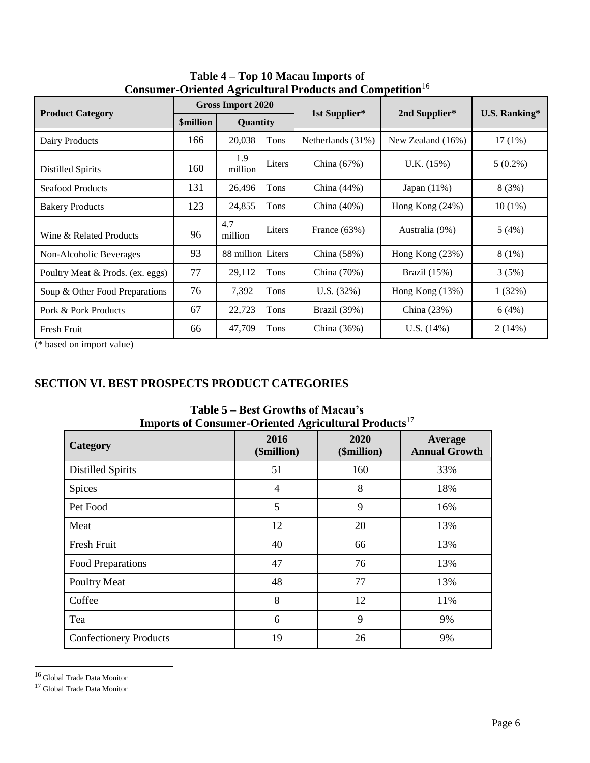|                                  | consumer Oriented rightentum in routies and competition<br><b>Gross Import 2020</b> |                   |        |                   |                   |                      |  |
|----------------------------------|-------------------------------------------------------------------------------------|-------------------|--------|-------------------|-------------------|----------------------|--|
| <b>Product Category</b>          | <i><b>\$million</b></i>                                                             | Quantity          |        | 1st Supplier*     | 2nd Supplier*     | <b>U.S. Ranking*</b> |  |
| Dairy Products                   | 166                                                                                 | 20,038            | Tons   | Netherlands (31%) | New Zealand (16%) | $17(1\%)$            |  |
| <b>Distilled Spirits</b>         | 160                                                                                 | 1.9<br>million    | Liters | China (67%)       | U.K. (15%)        | $5(0.2\%)$           |  |
| <b>Seafood Products</b>          | 131                                                                                 | 26,496            | Tons   | China $(44%)$     | Japan $(11\%)$    | 8(3%)                |  |
| <b>Bakery Products</b>           | 123                                                                                 | 24,855            | Tons   | China $(40\%)$    | Hong Kong (24%)   | $10(1\%)$            |  |
| Wine & Related Products          | 96                                                                                  | 4.7<br>million    | Liters | France $(63\%)$   | Australia (9%)    | 5(4%)                |  |
| Non-Alcoholic Beverages          | 93                                                                                  | 88 million Liters |        | China $(58%)$     | Hong Kong $(23%)$ | 8(1%)                |  |
| Poultry Meat & Prods. (ex. eggs) | 77                                                                                  | 29,112            | Tons   | China (70%)       | Brazil (15%)      | 3(5%)                |  |
| Soup & Other Food Preparations   | 76                                                                                  | 7,392             | Tons   | U.S. (32%)        | Hong Kong (13%)   | 1(32%)               |  |
| Pork & Pork Products             | 67                                                                                  | 22,723            | Tons   | Brazil (39%)      | China (23%)       | 6(4%)                |  |
| Fresh Fruit                      | 66                                                                                  | 47,709            | Tons   | China $(36%)$     | U.S. $(14\%)$     | 2(14%)               |  |

**Table 4 – Top 10 Macau Imports of Consumer-Oriented Agricultural Products and Competition**<sup>16</sup>

(\* based on import value)

# **SECTION VI. BEST PROSPECTS PRODUCT CATEGORIES**

| Imports of Consumer-Oriented Agricultural I Founcis |                     |                     |                                 |  |  |
|-----------------------------------------------------|---------------------|---------------------|---------------------------------|--|--|
| Category                                            | 2016<br>(\$million) | 2020<br>(\$million) | Average<br><b>Annual Growth</b> |  |  |
| <b>Distilled Spirits</b>                            | 51                  | 160                 | 33%                             |  |  |
| Spices                                              | 4                   | 8                   | 18%                             |  |  |
| Pet Food                                            | 5                   | 9                   | 16%                             |  |  |
| Meat                                                | 12                  | 20                  | 13%                             |  |  |
| Fresh Fruit                                         | 40                  | 66                  | 13%                             |  |  |
| Food Preparations                                   | 47                  | 76                  | 13%                             |  |  |
| <b>Poultry Meat</b>                                 | 48                  | 77                  | 13%                             |  |  |
| Coffee                                              | 8                   | 12                  | 11%                             |  |  |
| Tea                                                 | 6                   | 9                   | 9%                              |  |  |
| <b>Confectionery Products</b>                       | 19                  | 26                  | 9%                              |  |  |

**Table 5 – Best Growths of Macau's Imports of Consumer-Oriented Agricultural Products**<sup>17</sup>

 $\overline{a}$ 

<sup>16</sup> Global Trade Data Monitor

<sup>&</sup>lt;sup>17</sup> Global Trade Data Monitor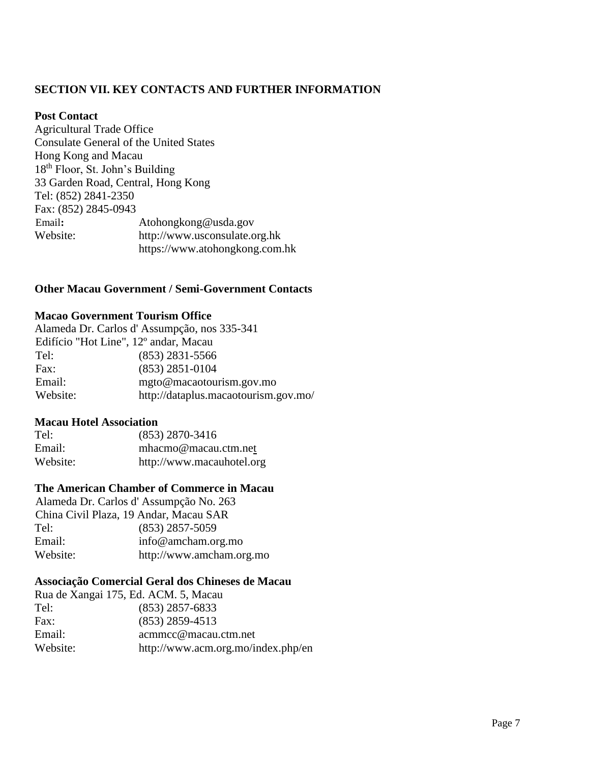# **SECTION VII. KEY CONTACTS AND FURTHER INFORMATION**

# **Post Contact**

Agricultural Trade Office Consulate General of the United States Hong Kong and Macau 18th Floor, St. John's Building 33 Garden Road, Central, Hong Kong Tel: (852) 2841-2350 Fax: (852) 2845-0943 Email**:** Atohongkong@usda.gov Website: http://www.usconsulate.org.hk https://www.atohongkong.com.hk

# **Other Macau Government / Semi-Government Contacts**

# **Macao Government Tourism Office**

| Alameda Dr. Carlos d'Assumpção, nos 335-341 |                                      |  |  |  |
|---------------------------------------------|--------------------------------------|--|--|--|
| Edifício "Hot Line", 12º andar, Macau       |                                      |  |  |  |
| Tel:                                        | $(853)$ 2831-5566                    |  |  |  |
| Fax:                                        | $(853)$ 2851-0104                    |  |  |  |
| Email:                                      | mgto@macaotourism.gov.mo             |  |  |  |
| Website:                                    | http://dataplus.macaotourism.gov.mo/ |  |  |  |

# **Macau Hotel Association**

| Tel:     | $(853)$ 2870-3416         |
|----------|---------------------------|
| Email:   | mhacmo@macau.ctm.net      |
| Website: | http://www.macauhotel.org |

# **The American Chamber of Commerce in Macau**

Alameda Dr. Carlos d' Assumpção No. 263 China Civil Plaza, 19 Andar, Macau SAR Tel: (853) 2857-5059 Email: info@amcham.org.mo Website: http://www.amcham.org.mo

# **Associação Comercial Geral dos Chineses de Macau**

| Rua de Xangai 175, Ed. ACM. 5, Macau |                                    |
|--------------------------------------|------------------------------------|
| Tel:                                 | $(853)$ 2857-6833                  |
| Fax:                                 | $(853)$ 2859-4513                  |
| Email:                               | acmmcc@macau.ctm.net               |
| Website:                             | http://www.acm.org.mo/index.php/en |
|                                      |                                    |